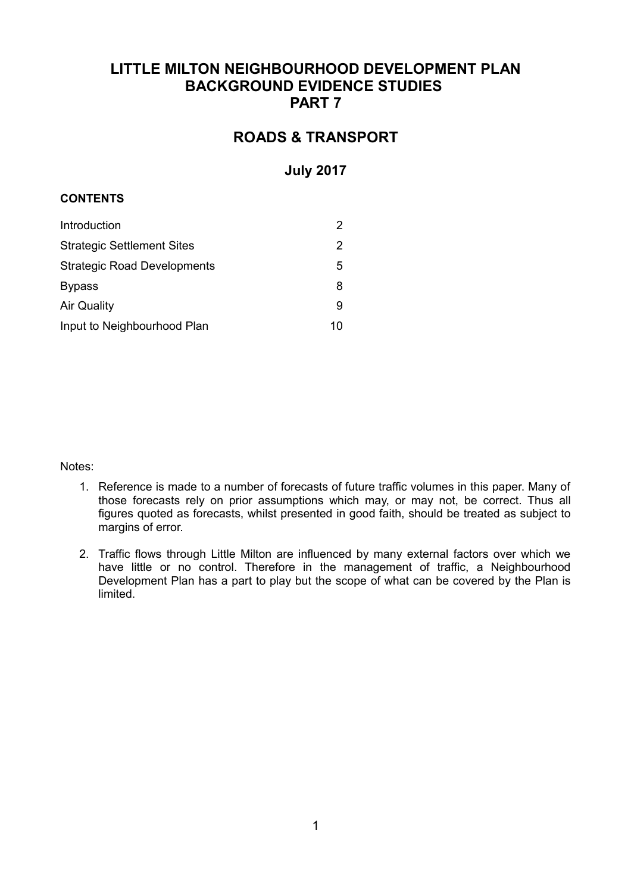## **LITTLE MILTON NEIGHBOURHOOD DEVELOPMENT PLAN BACKGROUND EVIDENCE STUDIES PART 7**

# **ROADS & TRANSPORT**

## **July 2017**

#### **CONTENTS**

| Introduction                       | 2  |
|------------------------------------|----|
| <b>Strategic Settlement Sites</b>  | 2  |
| <b>Strategic Road Developments</b> | 5  |
| <b>Bypass</b>                      | 8  |
| <b>Air Quality</b>                 | 9  |
| Input to Neighbourhood Plan        | 10 |

#### Notes:

- 1. Reference is made to a number of forecasts of future traffic volumes in this paper. Many of those forecasts rely on prior assumptions which may, or may not, be correct. Thus all figures quoted as forecasts, whilst presented in good faith, should be treated as subject to margins of error.
- 2. Traffic flows through Little Milton are influenced by many external factors over which we have little or no control. Therefore in the management of traffic, a Neighbourhood Development Plan has a part to play but the scope of what can be covered by the Plan is limited.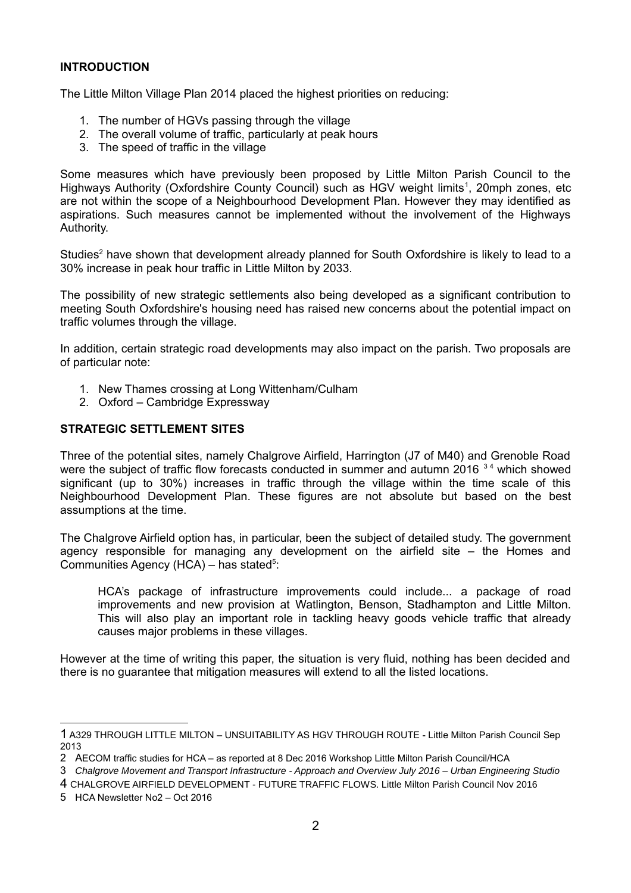#### **INTRODUCTION**

The Little Milton Village Plan 2014 placed the highest priorities on reducing:

- 1. The number of HGVs passing through the village
- 2. The overall volume of traffic, particularly at peak hours
- 3. The speed of traffic in the village

Some measures which have previously been proposed by Little Milton Parish Council to the Highways Authority (Oxfordshire County Council) such as HGV weight limits<sup>[1](#page-1-0)</sup>, 20mph zones, etc are not within the scope of a Neighbourhood Development Plan. However they may identified as aspirations. Such measures cannot be implemented without the involvement of the Highways Authority.

Studies<sup>[2](#page-1-1)</sup> have shown that development already planned for South Oxfordshire is likely to lead to a 30% increase in peak hour traffic in Little Milton by 2033.

The possibility of new strategic settlements also being developed as a significant contribution to meeting South Oxfordshire's housing need has raised new concerns about the potential impact on traffic volumes through the village.

In addition, certain strategic road developments may also impact on the parish. Two proposals are of particular note:

- 1. New Thames crossing at Long Wittenham/Culham
- 2. Oxford Cambridge Expressway

#### **STRATEGIC SETTLEMENT SITES**

Three of the potential sites, namely Chalgrove Airfield, Harrington (J7 of M40) and Grenoble Road were the subject of traffic flow forecasts conducted in summer and autumn 2016  $34$  $34$  which showed significant (up to 30%) increases in traffic through the village within the time scale of this Neighbourhood Development Plan. These figures are not absolute but based on the best assumptions at the time.

The Chalgrove Airfield option has, in particular, been the subject of detailed study. The government agency responsible for managing any development on the airfield site – the Homes and Communities Agency (HCA)  $-$  has stated<sup>[5](#page-1-4)</sup>:

HCA's package of infrastructure improvements could include... a package of road improvements and new provision at Watlington, Benson, Stadhampton and Little Milton. This will also play an important role in tackling heavy goods vehicle traffic that already causes major problems in these villages.

However at the time of writing this paper, the situation is very fluid, nothing has been decided and there is no guarantee that mitigation measures will extend to all the listed locations.

<span id="page-1-0"></span><sup>1</sup> A329 THROUGH LITTLE MILTON – UNSUITABILITY AS HGV THROUGH ROUTE - Little Milton Parish Council Sep 2013

<span id="page-1-1"></span><sup>2</sup> AECOM traffic studies for HCA – as reported at 8 Dec 2016 Workshop Little Milton Parish Council/HCA

<span id="page-1-2"></span><sup>3</sup> *Chalgrove Movement and Transport Infrastructure - Approach and Overview July 2016 – Urban Engineering Studio*

<span id="page-1-3"></span><sup>4</sup> CHALGROVE AIRFIELD DEVELOPMENT - FUTURE TRAFFIC FLOWS. Little Milton Parish Council Nov 2016

<span id="page-1-4"></span><sup>5</sup> HCA Newsletter No2 – Oct 2016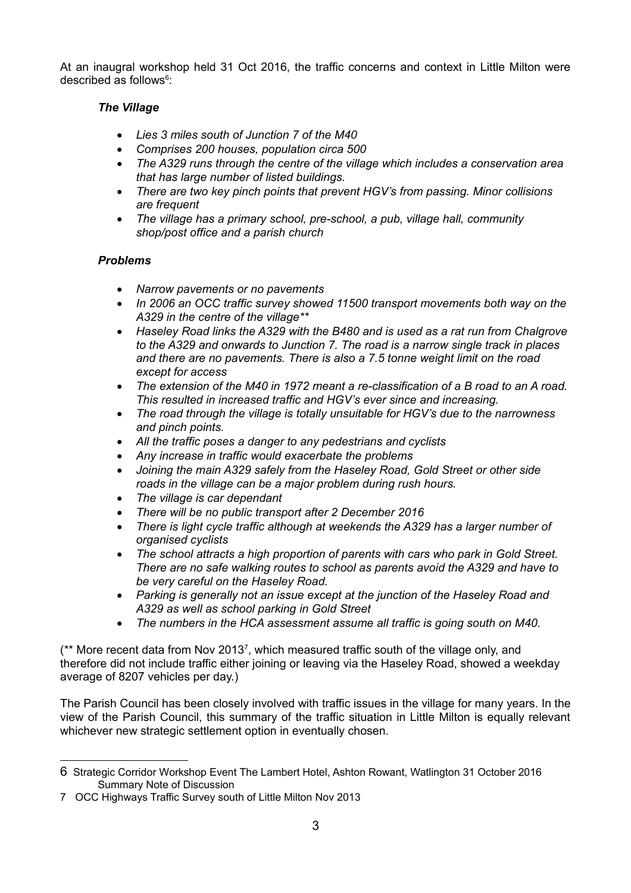At an inaugral workshop held 31 Oct 2016, the traffic concerns and context in Little Milton were described as follows<sup>[6](#page-2-0)</sup>:

### *The Village*

- *Lies 3 miles south of Junction 7 of the M40*
- *Comprises 200 houses, population circa 500*
- *The A329 runs through the centre of the village which includes a conservation area that has large number of listed buildings.*
- *There are two key pinch points that prevent HGV's from passing. Minor collisions are frequent*
- *The village has a primary school, pre-school, a pub, village hall, community shop/post office and a parish church*

### *Problems*

- *Narrow pavements or no pavements*
- *In 2006 an OCC traffic survey showed 11500 transport movements both way on the A329 in the centre of the village\*\**
- *Haseley Road links the A329 with the B480 and is used as a rat run from Chalgrove to the A329 and onwards to Junction 7. The road is a narrow single track in places and there are no pavements. There is also a 7.5 tonne weight limit on the road except for access*
- *The extension of the M40 in 1972 meant a re-classification of a B road to an A road. This resulted in increased traffic and HGV's ever since and increasing.*
- *The road through the village is totally unsuitable for HGV's due to the narrowness and pinch points.*
- *All the traffic poses a danger to any pedestrians and cyclists*
- *Any increase in traffic would exacerbate the problems*
- *Joining the main A329 safely from the Haseley Road, Gold Street or other side roads in the village can be a major problem during rush hours.*
- *The village is car dependant*
- *There will be no public transport after 2 December 2016*
- *There is light cycle traffic although at weekends the A329 has a larger number of organised cyclists*
- *The school attracts a high proportion of parents with cars who park in Gold Street. There are no safe walking routes to school as parents avoid the A329 and have to be very careful on the Haseley Road.*
- *Parking is generally not an issue except at the junction of the Haseley Road and A329 as well as school parking in Gold Street*
- *The numbers in the HCA assessment assume all traffic is going south on M40.*

 $(*$  More recent data from Nov 2013<sup>[7](#page-2-1)</sup>, which measured traffic south of the village only, and therefore did not include traffic either joining or leaving via the Haseley Road, showed a weekday average of 8207 vehicles per day.)

The Parish Council has been closely involved with traffic issues in the village for many years. In the view of the Parish Council, this summary of the traffic situation in Little Milton is equally relevant whichever new strategic settlement option in eventually chosen.

<span id="page-2-0"></span><sup>6</sup> Strategic Corridor Workshop Event The Lambert Hotel, Ashton Rowant, Watlington 31 October 2016 Summary Note of Discussion

<span id="page-2-1"></span><sup>7</sup> OCC Highways Traffic Survey south of Little Milton Nov 2013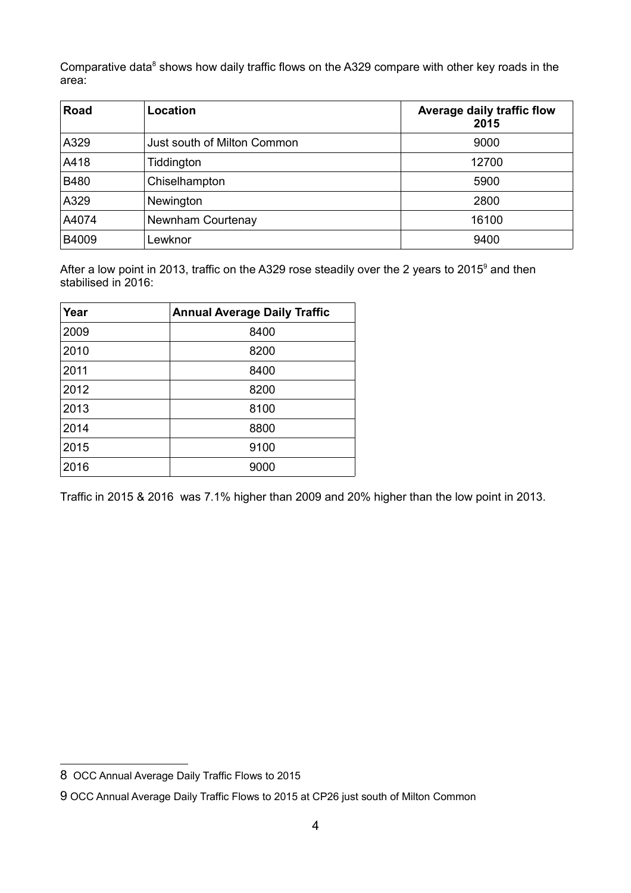Comparative data<sup>[8](#page-3-0)</sup> shows how daily traffic flows on the A329 compare with other key roads in the area:

| Road        | Location                    | Average daily traffic flow<br>2015 |
|-------------|-----------------------------|------------------------------------|
| A329        | Just south of Milton Common | 9000                               |
| A418        | Tiddington                  | 12700                              |
| <b>B480</b> | Chiselhampton               | 5900                               |
| A329        | Newington                   | 2800                               |
| A4074       | Newnham Courtenay           | 16100                              |
| B4009       | Lewknor                     | 9400                               |

After a low point in 2013, traffic on the A32[9](#page-3-1) rose steadily over the 2 years to 2015<sup>9</sup> and then stabilised in 2016:

| Year | <b>Annual Average Daily Traffic</b> |  |
|------|-------------------------------------|--|
| 2009 | 8400                                |  |
| 2010 | 8200                                |  |
| 2011 | 8400                                |  |
| 2012 | 8200                                |  |
| 2013 | 8100                                |  |
| 2014 | 8800                                |  |
| 2015 | 9100                                |  |
| 2016 | 9000                                |  |

Traffic in 2015 & 2016 was 7.1% higher than 2009 and 20% higher than the low point in 2013.

<span id="page-3-0"></span><sup>8</sup> OCC Annual Average Daily Traffic Flows to 2015

<span id="page-3-1"></span><sup>9</sup> OCC Annual Average Daily Traffic Flows to 2015 at CP26 just south of Milton Common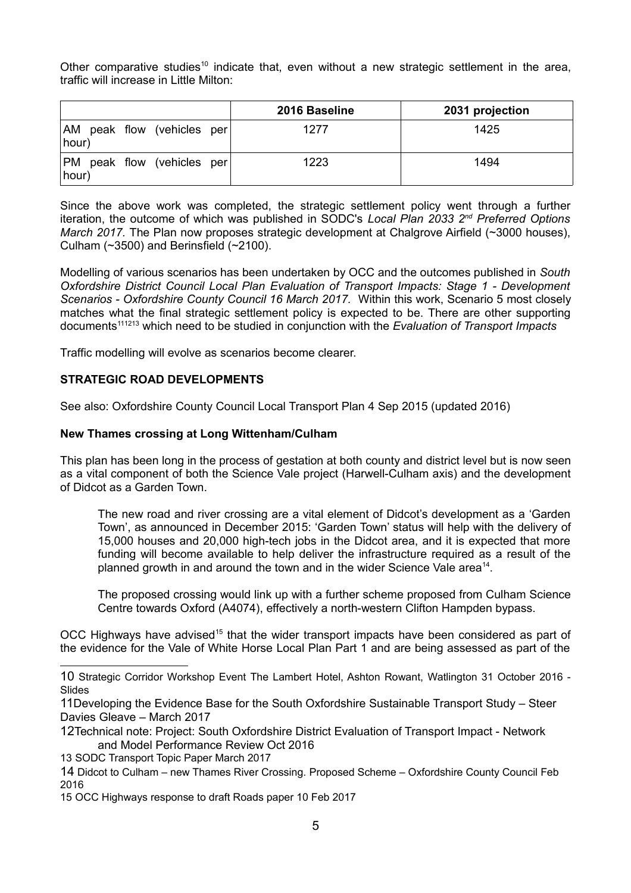Other comparative studies<sup>[10](#page-4-0)</sup> indicate that, even without a new strategic settlement in the area, traffic will increase in Little Milton:

|                                     | 2016 Baseline | 2031 projection |
|-------------------------------------|---------------|-----------------|
| AM peak flow (vehicles per<br>hour) | 1277          | 1425            |
| PM peak flow (vehicles per<br>hour) | 1223          | 1494            |

Since the above work was completed, the strategic settlement policy went through a further iteration, the outcome of which was published in SODC's *Local Plan 2033 2nd Preferred Options March 2017.* The Plan now proposes strategic development at Chalgrove Airfield (~3000 houses). Culham (~3500) and Berinsfield (~2100).

Modelling of various scenarios has been undertaken by OCC and the outcomes published in *South Oxfordshire District Council Local Plan Evaluation of Transport Impacts: Stage 1 - Development Scenarios - Oxfordshire County Council 16 March 2017.* Within this work, Scenario 5 most closely matches what the final strategic settlement policy is expected to be. There are other supporting documents[11](#page-4-1)[12](#page-4-2)[13](#page-4-3) which need to be studied in conjunction with the *Evaluation of Transport Impacts*

Traffic modelling will evolve as scenarios become clearer.

#### **STRATEGIC ROAD DEVELOPMENTS**

See also: Oxfordshire County Council Local Transport Plan 4 Sep 2015 (updated 2016)

#### **New Thames crossing at Long Wittenham/Culham**

This plan has been long in the process of gestation at both county and district level but is now seen as a vital component of both the Science Vale project (Harwell-Culham axis) and the development of Didcot as a Garden Town.

The new road and river crossing are a vital element of Didcot's development as a 'Garden Town', as announced in December 2015: 'Garden Town' status will help with the delivery of 15,000 houses and 20,000 high-tech jobs in the Didcot area, and it is expected that more funding will become available to help deliver the infrastructure required as a result of the planned growth in and around the town and in the wider Science Vale area<sup>[14](#page-4-4)</sup>.

The proposed crossing would link up with a further scheme proposed from Culham Science Centre towards Oxford (A4074), effectively a north-western Clifton Hampden bypass.

OCC Highways have advised<sup>[15](#page-4-5)</sup> that the wider transport impacts have been considered as part of the evidence for the Vale of White Horse Local Plan Part 1 and are being assessed as part of the

- <span id="page-4-3"></span>13 SODC Transport Topic Paper March 2017
- <span id="page-4-4"></span>14 Didcot to Culham – new Thames River Crossing. Proposed Scheme – Oxfordshire County Council Feb 2016

<span id="page-4-5"></span>15 OCC Highways response to draft Roads paper 10 Feb 2017

<span id="page-4-0"></span><sup>10</sup> Strategic Corridor Workshop Event The Lambert Hotel, Ashton Rowant, Watlington 31 October 2016 - Slides

<span id="page-4-1"></span><sup>11</sup>Developing the Evidence Base for the South Oxfordshire Sustainable Transport Study – Steer Davies Gleave – March 2017

<span id="page-4-2"></span><sup>12</sup>Technical note: Project: South Oxfordshire District Evaluation of Transport Impact - Network and Model Performance Review Oct 2016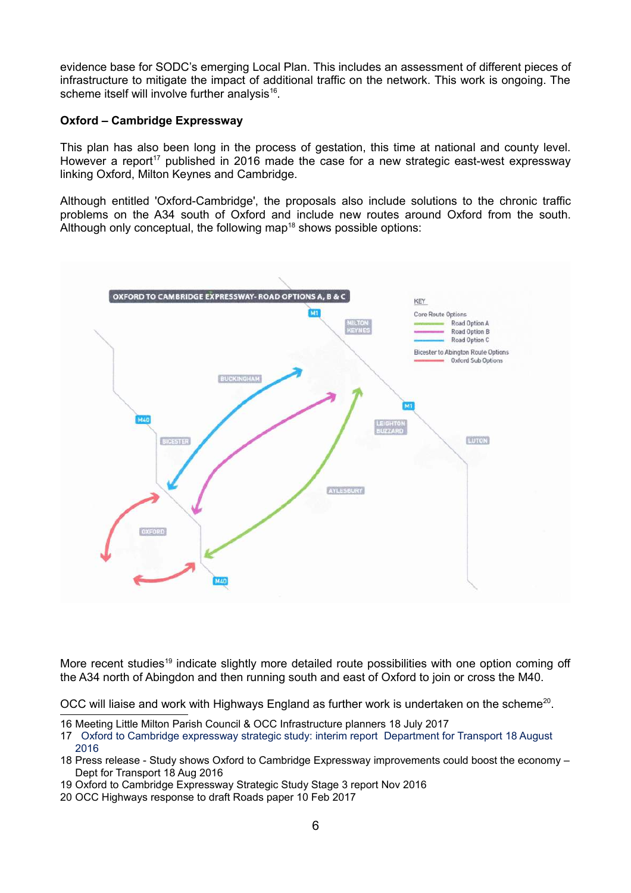evidence base for SODC's emerging Local Plan. This includes an assessment of different pieces of infrastructure to mitigate the impact of additional traffic on the network. This work is ongoing. The scheme itself will involve further analysis<sup>[16](#page-5-0)</sup>.

#### **Oxford – Cambridge Expressway**

This plan has also been long in the process of gestation, this time at national and county level. However a report<sup>[17](#page-5-1)</sup> published in 2016 made the case for a new strategic east-west expressway linking Oxford, Milton Keynes and Cambridge.

Although entitled 'Oxford-Cambridge', the proposals also include solutions to the chronic traffic problems on the A34 south of Oxford and include new routes around Oxford from the south. Although only conceptual, the following map<sup>[18](#page-5-2)</sup> shows possible options:



More recent studies<sup>[19](#page-5-3)</sup> indicate slightly more detailed route possibilities with one option coming off the A34 north of Abingdon and then running south and east of Oxford to join or cross the M40.

OCC will liaise and work with Highways England as further work is undertaken on the scheme<sup>[20](#page-5-4)</sup>.

<span id="page-5-0"></span>16 Meeting Little Milton Parish Council & OCC Infrastructure planners 18 July 2017

- <span id="page-5-2"></span>18 Press release - Study shows Oxford to Cambridge Expressway improvements could boost the economy – Dept for Transport 18 Aug 2016
- <span id="page-5-3"></span>19 Oxford to Cambridge Expressway Strategic Study Stage 3 report Nov 2016
- <span id="page-5-4"></span>20 OCC Highways response to draft Roads paper 10 Feb 2017

<span id="page-5-1"></span><sup>17</sup> Oxford to Cambridge expressway strategic study: interim report Department for Transport 18 August 2016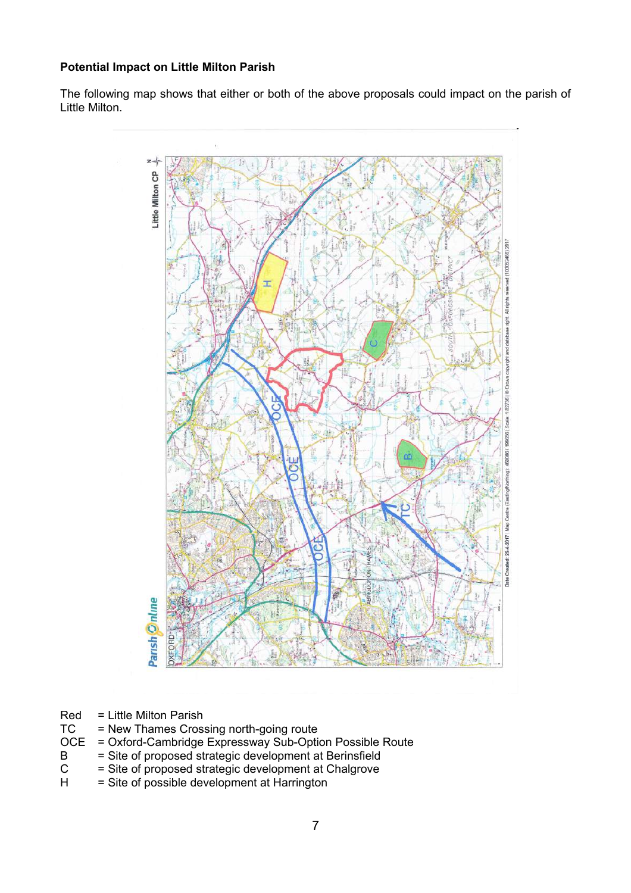#### **Potential Impact on Little Milton Parish**

The following map shows that either or both of the above proposals could impact on the parish of Little Milton.



- Red = Little Milton Parish<br>TC = New Thames Cross
- = New Thames Crossing north-going route
- OCE = Oxford-Cambridge Expressway Sub-Option Possible Route<br>B = Site of proposed strategic development at Berinsfield
- B = Site of proposed strategic development at Berinsfield<br>C = Site of proposed strategic development at Chalgrove
- $C =$  Site of proposed strategic development at Chalgrove<br>  $H =$  Site of possible development at Harrington
- $=$  Site of possible development at Harrington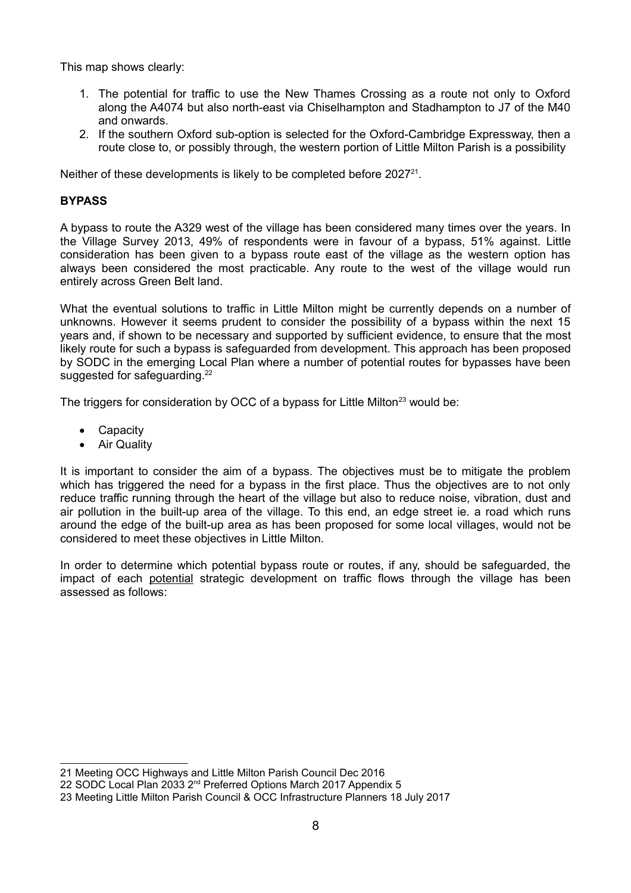This map shows clearly:

- 1. The potential for traffic to use the New Thames Crossing as a route not only to Oxford along the A4074 but also north-east via Chiselhampton and Stadhampton to J7 of the M40 and onwards.
- 2. If the southern Oxford sub-option is selected for the Oxford-Cambridge Expressway, then a route close to, or possibly through, the western portion of Little Milton Parish is a possibility

Neither of these developments is likely to be completed before  $2027<sup>21</sup>$  $2027<sup>21</sup>$  $2027<sup>21</sup>$ .

#### **BYPASS**

A bypass to route the A329 west of the village has been considered many times over the years. In the Village Survey 2013, 49% of respondents were in favour of a bypass, 51% against. Little consideration has been given to a bypass route east of the village as the western option has always been considered the most practicable. Any route to the west of the village would run entirely across Green Belt land.

What the eventual solutions to traffic in Little Milton might be currently depends on a number of unknowns. However it seems prudent to consider the possibility of a bypass within the next 15 years and, if shown to be necessary and supported by sufficient evidence, to ensure that the most likely route for such a bypass is safeguarded from development. This approach has been proposed by SODC in the emerging Local Plan where a number of potential routes for bypasses have been suggested for safeguarding. $22$ 

The triggers for consideration by OCC of a bypass for Little Milton<sup>[23](#page-7-2)</sup> would be:

- Capacity
- Air Quality

It is important to consider the aim of a bypass. The objectives must be to mitigate the problem which has triggered the need for a bypass in the first place. Thus the objectives are to not only reduce traffic running through the heart of the village but also to reduce noise, vibration, dust and air pollution in the built-up area of the village. To this end, an edge street ie. a road which runs around the edge of the built-up area as has been proposed for some local villages, would not be considered to meet these objectives in Little Milton.

In order to determine which potential bypass route or routes, if any, should be safeguarded, the impact of each potential strategic development on traffic flows through the village has been assessed as follows:

<span id="page-7-0"></span><sup>21</sup> Meeting OCC Highways and Little Milton Parish Council Dec 2016

<span id="page-7-1"></span><sup>22</sup> SODC Local Plan 2033 2<sup>nd</sup> Preferred Options March 2017 Appendix 5

<span id="page-7-2"></span><sup>23</sup> Meeting Little Milton Parish Council & OCC Infrastructure Planners 18 July 2017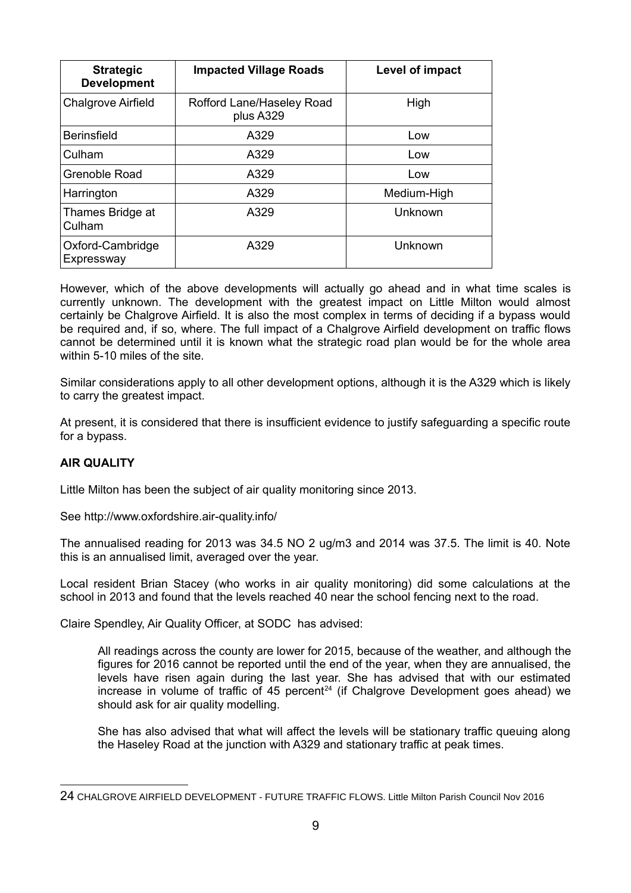| <b>Strategic</b><br><b>Development</b> | <b>Impacted Village Roads</b>          | Level of impact |
|----------------------------------------|----------------------------------------|-----------------|
| <b>Chalgrove Airfield</b>              | Rofford Lane/Haseley Road<br>plus A329 | High            |
| <b>Berinsfield</b>                     | A329                                   | Low             |
| Culham                                 | A329                                   | Low             |
| Grenoble Road                          | A329                                   | Low             |
| Harrington                             | A329                                   | Medium-High     |
| Thames Bridge at<br>Culham             | A329                                   | Unknown         |
| Oxford-Cambridge<br>Expressway         | A329                                   | Unknown         |

However, which of the above developments will actually go ahead and in what time scales is currently unknown. The development with the greatest impact on Little Milton would almost certainly be Chalgrove Airfield. It is also the most complex in terms of deciding if a bypass would be required and, if so, where. The full impact of a Chalgrove Airfield development on traffic flows cannot be determined until it is known what the strategic road plan would be for the whole area within 5-10 miles of the site.

Similar considerations apply to all other development options, although it is the A329 which is likely to carry the greatest impact.

At present, it is considered that there is insufficient evidence to justify safeguarding a specific route for a bypass.

#### **AIR QUALITY**

Little Milton has been the subject of air quality monitoring since 2013.

See http://www.oxfordshire.air-quality.info/

The annualised reading for 2013 was 34.5 NO 2 ug/m3 and 2014 was 37.5. The limit is 40. Note this is an annualised limit, averaged over the year.

Local resident Brian Stacey (who works in air quality monitoring) did some calculations at the school in 2013 and found that the levels reached 40 near the school fencing next to the road.

Claire Spendley, Air Quality Officer, at SODC has advised:

All readings across the county are lower for 2015, because of the weather, and although the figures for 2016 cannot be reported until the end of the year, when they are annualised, the levels have risen again during the last year. She has advised that with our estimated increase in volume of traffic of 45 percent<sup>[24](#page-8-0)</sup> (if Chalgrove Development goes ahead) we should ask for air quality modelling.

She has also advised that what will affect the levels will be stationary traffic queuing along the Haseley Road at the junction with A329 and stationary traffic at peak times.

<span id="page-8-0"></span><sup>24</sup> CHALGROVE AIRFIELD DEVELOPMENT - FUTURE TRAFFIC FLOWS. Little Milton Parish Council Nov 2016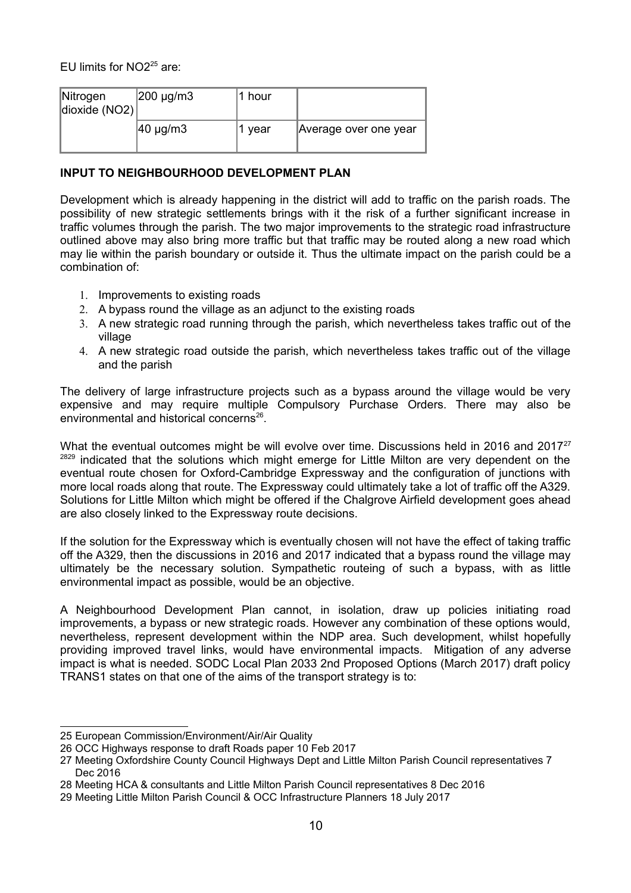EU limits for  $NO<sup>25</sup>$  $NO<sup>25</sup>$  $NO<sup>25</sup>$  are:

| Nitrogen<br>dioxide (NO2) | $ 200 \mu g/m3$      | 1 hour |                       |
|---------------------------|----------------------|--------|-----------------------|
|                           | $ 40 \text{ µg/m3} $ | 1 vear | Average over one year |

#### **INPUT TO NEIGHBOURHOOD DEVELOPMENT PLAN**

Development which is already happening in the district will add to traffic on the parish roads. The possibility of new strategic settlements brings with it the risk of a further significant increase in traffic volumes through the parish. The two major improvements to the strategic road infrastructure outlined above may also bring more traffic but that traffic may be routed along a new road which may lie within the parish boundary or outside it. Thus the ultimate impact on the parish could be a combination of:

- 1. Improvements to existing roads
- 2. A bypass round the village as an adjunct to the existing roads
- 3. A new strategic road running through the parish, which nevertheless takes traffic out of the village
- 4. A new strategic road outside the parish, which nevertheless takes traffic out of the village and the parish

The delivery of large infrastructure projects such as a bypass around the village would be very expensive and may require multiple Compulsory Purchase Orders. There may also be environmental and historical concerns<sup>[26](#page-9-1)</sup>.

What the eventual outcomes might be will evolve over time. Discussions held in 2016 and 2017 $^{27}$  $^{27}$  $^{27}$ <sup>[28](#page-9-3)[29](#page-9-4)</sup> indicated that the solutions which might emerge for Little Milton are very dependent on the eventual route chosen for Oxford-Cambridge Expressway and the configuration of junctions with more local roads along that route. The Expressway could ultimately take a lot of traffic off the A329. Solutions for Little Milton which might be offered if the Chalgrove Airfield development goes ahead are also closely linked to the Expressway route decisions.

If the solution for the Expressway which is eventually chosen will not have the effect of taking traffic off the A329, then the discussions in 2016 and 2017 indicated that a bypass round the village may ultimately be the necessary solution. Sympathetic routeing of such a bypass, with as little environmental impact as possible, would be an objective.

A Neighbourhood Development Plan cannot, in isolation, draw up policies initiating road improvements, a bypass or new strategic roads. However any combination of these options would, nevertheless, represent development within the NDP area. Such development, whilst hopefully providing improved travel links, would have environmental impacts. Mitigation of any adverse impact is what is needed. SODC Local Plan 2033 2nd Proposed Options (March 2017) draft policy TRANS1 states on that one of the aims of the transport strategy is to:

<span id="page-9-0"></span><sup>25</sup> European Commission/Environment/Air/Air Quality

<span id="page-9-1"></span><sup>26</sup> OCC Highways response to draft Roads paper 10 Feb 2017

<span id="page-9-2"></span><sup>27</sup> Meeting Oxfordshire County Council Highways Dept and Little Milton Parish Council representatives 7 Dec 2016

<span id="page-9-3"></span><sup>28</sup> Meeting HCA & consultants and Little Milton Parish Council representatives 8 Dec 2016

<span id="page-9-4"></span><sup>29</sup> Meeting Little Milton Parish Council & OCC Infrastructure Planners 18 July 2017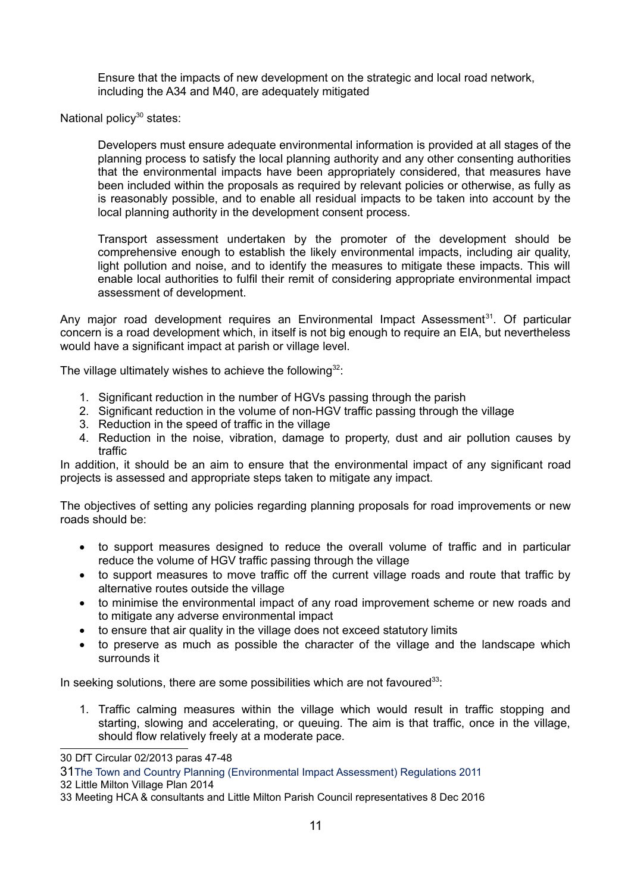Ensure that the impacts of new development on the strategic and local road network, including the A34 and M40, are adequately mitigated

National policy $30$  states:

Developers must ensure adequate environmental information is provided at all stages of the planning process to satisfy the local planning authority and any other consenting authorities that the environmental impacts have been appropriately considered, that measures have been included within the proposals as required by relevant policies or otherwise, as fully as is reasonably possible, and to enable all residual impacts to be taken into account by the local planning authority in the development consent process.

Transport assessment undertaken by the promoter of the development should be comprehensive enough to establish the likely environmental impacts, including air quality, light pollution and noise, and to identify the measures to mitigate these impacts. This will enable local authorities to fulfil their remit of considering appropriate environmental impact assessment of development.

Any major road development requires an Environmental Impact Assessment<sup>[31](#page-10-1)</sup>. Of particular concern is a road development which, in itself is not big enough to require an EIA, but nevertheless would have a significant impact at parish or village level.

The village ultimately wishes to achieve the following<sup>[32](#page-10-2)</sup>:

- 1. Significant reduction in the number of HGVs passing through the parish
- 2. Significant reduction in the volume of non-HGV traffic passing through the village
- 3. Reduction in the speed of traffic in the village
- 4. Reduction in the noise, vibration, damage to property, dust and air pollution causes by traffic

In addition, it should be an aim to ensure that the environmental impact of any significant road projects is assessed and appropriate steps taken to mitigate any impact.

The objectives of setting any policies regarding planning proposals for road improvements or new roads should be:

- to support measures designed to reduce the overall volume of traffic and in particular reduce the volume of HGV traffic passing through the village
- to support measures to move traffic off the current village roads and route that traffic by alternative routes outside the village
- to minimise the environmental impact of any road improvement scheme or new roads and to mitigate any adverse environmental impact
- to ensure that air quality in the village does not exceed statutory limits
- to preserve as much as possible the character of the village and the landscape which surrounds it

In seeking solutions, there are some possibilities which are not favoured<sup>[33](#page-10-3)</sup>;

1. Traffic calming measures within the village which would result in traffic stopping and starting, slowing and accelerating, or queuing. The aim is that traffic, once in the village, should flow relatively freely at a moderate pace.

<span id="page-10-0"></span><sup>30</sup> DfT Circular 02/2013 paras 47-48

<span id="page-10-1"></span><sup>31</sup>The Town and Country Planning (Environmental Impact Assessment) Regulations 2011

<span id="page-10-2"></span><sup>32</sup> Little Milton Village Plan 2014

<span id="page-10-3"></span><sup>33</sup> Meeting HCA & consultants and Little Milton Parish Council representatives 8 Dec 2016